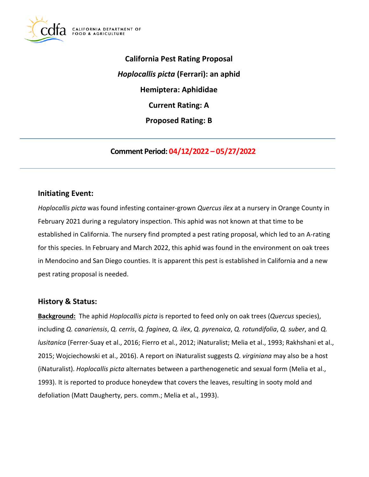

**California Pest Rating Proposal**  *Hoplocallis picta* **(Ferrari): an aphid Hemiptera: Aphididae Current Rating: A Proposed Rating: B** 

**Comment Period: 04/12/2022 – 05/27/2022** 

# **Initiating Event:**

*Hoplocallis picta* was found infesting container-grown *Quercus ilex* at a nursery in Orange County in February 2021 during a regulatory inspection. This aphid was not known at that time to be established in California. The nursery find prompted a pest rating proposal, which led to an A-rating for this species. In February and March 2022, this aphid was found in the environment on oak trees in Mendocino and San Diego counties. It is apparent this pest is established in California and a new pest rating proposal is needed.

## **History & Status:**

**Background:** The aphid *Hoplocallis picta* is reported to feed only on oak trees (*Quercus* species), including *Q. canariensis*, *Q. cerris*, *Q. faginea*, *Q. ilex*, *Q. pyrenaica*, *Q. rotundifolia*, *Q. suber*, and *Q. lusitanica* (Ferrer-Suay et al., 2016; Fierro et al., 2012; iNaturalist; Melia et al., 1993; Rakhshani et al., 2015; Wojciechowski et al., 2016). A report on iNaturalist suggests *Q*. *virginiana* may also be a host (iNaturalist). *Hoplocallis picta* alternates between a parthenogenetic and sexual form (Melia et al., 1993). It is reported to produce honeydew that covers the leaves, resulting in sooty mold and defoliation (Matt Daugherty, pers. comm.; Melia et al., 1993).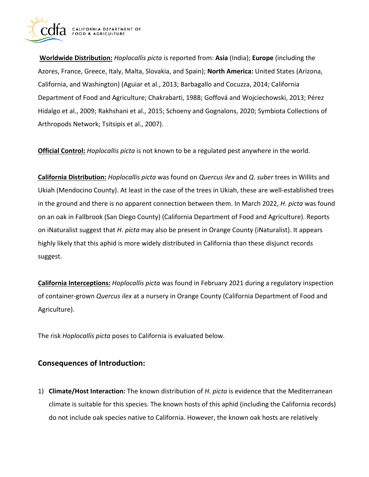

**Worldwide Distribution:** *Hoplocallis picta* is reported from: **Asia** (India); **Europe** (including the Azores, France, Greece, Italy, Malta, Slovakia, and Spain); **North America:** United States (Arizona, California, and Washington) (Aguiar et al., 2013; Barbagallo and Cocuzza, 2014; California Department of Food and Agriculture; Chakrabarti, 1988; Goffová and Wojciechowski, 2013; Pérez Hidalgo et al., 2009; Rakhshani et al., 2015; Schoeny and Gognalons, 2020; Symbiota Collections of Arthropods Network; Tsitsipis et al., 2007).

**Official Control:** *Hoplocallis picta* is not known to be a regulated pest anywhere in the world.

**California Distribution:** *Hoplocallis picta* was found on *Quercus ilex* and *Q*. *suber* trees in Willits and Ukiah (Mendocino County). At least in the case of the trees in Ukiah, these are well-established trees in the ground and there is no apparent connection between them. In March 2022, *H*. *picta* was found on an oak in Fallbrook (San Diego County) (California Department of Food and Agriculture). Reports on iNaturalist suggest that *H*. *picta* may also be present in Orange County (iNaturalist). It appears highly likely that this aphid is more widely distributed in California than these disjunct records suggest.

**California Interceptions:** *Hoplocallis picta* was found in February 2021 during a regulatory inspection of container-grown *Quercus ilex* at a nursery in Orange County (California Department of Food and Agriculture).

The risk *Hoplocallis picta* poses to California is evaluated below.

# **Consequences of Introduction:**

1) **Climate/Host Interaction:** The known distribution of *H. picta* is evidence that the Mediterranean climate is suitable for this species. The known hosts of this aphid (including the California records) do not include oak species native to California. However, the known oak hosts are relatively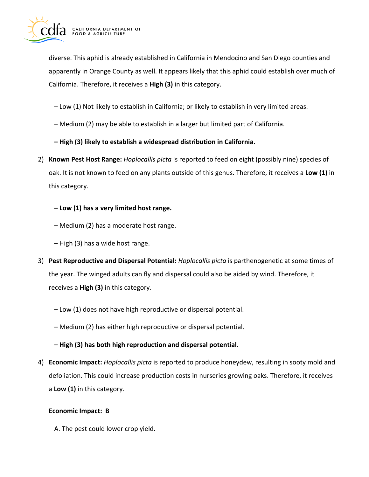

diverse. This aphid is already established in California in Mendocino and San Diego counties and apparently in Orange County as well. It appears likely that this aphid could establish over much of California. Therefore, it receives a **High (3)** in this category.

- Low (1) Not likely to establish in California; or likely to establish in very limited areas.
- Medium (2) may be able to establish in a larger but limited part of California.
- **High (3) likely to establish a widespread distribution in California.**
- 2) **Known Pest Host Range:** *Hoplocallis picta* is reported to feed on eight (possibly nine) species of oak. It is not known to feed on any plants outside of this genus. Therefore, it receives a **Low (1)** in this category.
	- **Low (1) has a very limited host range.**
	- Medium (2) has a moderate host range.
	- High (3) has a wide host range.
- 3) **Pest Reproductive and Dispersal Potential:** *Hoplocallis picta* is parthenogenetic at some times of the year. The winged adults can fly and dispersal could also be aided by wind. Therefore, it receives a **High (3)** in this category.
	- Low (1) does not have high reproductive or dispersal potential.
	- Medium (2) has either high reproductive or dispersal potential.
	- **High (3) has both high reproduction and dispersal potential.**
- 4) **Economic Impact:** *Hoplocallis picta* is reported to produce honeydew, resulting in sooty mold and defoliation. This could increase production costs in nurseries growing oaks. Therefore, it receives a **Low (1)** in this category.

### **Economic Impact: B**

A. The pest could lower crop yield.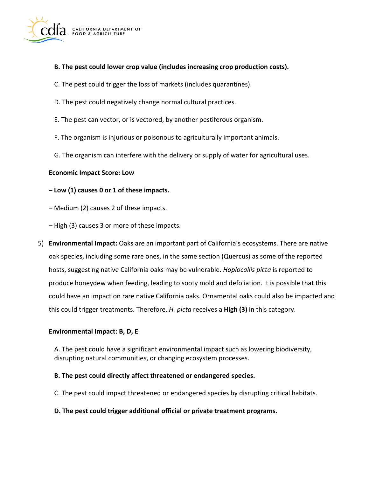

### **B. The pest could lower crop value (includes increasing crop production costs).**

- C. The pest could trigger the loss of markets (includes quarantines).
- D. The pest could negatively change normal cultural practices.
- E. The pest can vector, or is vectored, by another pestiferous organism.
- F. The organism is injurious or poisonous to agriculturally important animals.
- G. The organism can interfere with the delivery or supply of water for agricultural uses.

### **Economic Impact Score: Low**

### **– Low (1) causes 0 or 1 of these impacts.**

- Medium (2) causes 2 of these impacts.
- High (3) causes 3 or more of these impacts.
- 5) **Environmental Impact:** Oaks are an important part of California's ecosystems. There are native oak species, including some rare ones, in the same section (Quercus) as some of the reported hosts, suggesting native California oaks may be vulnerable. *Hoplocallis picta* is reported to produce honeydew when feeding, leading to sooty mold and defoliation. It is possible that this could have an impact on rare native California oaks. Ornamental oaks could also be impacted and this could trigger treatments. Therefore, *H. picta* receives a **High (3)** in this category.

### **Environmental Impact: B, D, E**

A. The pest could have a significant environmental impact such as lowering biodiversity, disrupting natural communities, or changing ecosystem processes.

### **B. The pest could directly affect threatened or endangered species.**

C. The pest could impact threatened or endangered species by disrupting critical habitats.

### **D. The pest could trigger additional official or private treatment programs.**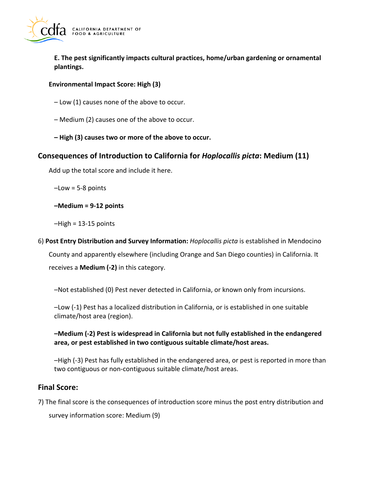

**E. The pest significantly impacts cultural practices, home/urban gardening or ornamental plantings.** 

### **Environmental Impact Score: High (3)**

- Low (1) causes none of the above to occur.
- Medium (2) causes one of the above to occur.
- **High (3) causes two or more of the above to occur.**

# **Consequences of Introduction to California for** *Hoplocallis picta***: Medium (11)**

Add up the total score and include it here.

 $-$ Low = 5-8 points

**–Medium = 9-12 points** 

 $-High = 13-15$  points

6) **Post Entry Distribution and Survey Information:** *Hoplocallis picta* is established in Mendocino County and apparently elsewhere (including Orange and San Diego counties) in California. It receives a **Medium (-2)** in this category.

–Not established (0) Pest never detected in California, or known only from incursions.

–Low (-1) Pest has a localized distribution in California, or is established in one suitable climate/host area (region).

**–Medium (-2) Pest is widespread in California but not fully established in the endangered area, or pest established in two contiguous suitable climate/host areas.** 

–High (-3) Pest has fully established in the endangered area, or pest is reported in more than two contiguous or non-contiguous suitable climate/host areas.

# **Final Score:**

7) The final score is the consequences of introduction score minus the post entry distribution and

survey information score: Medium (9)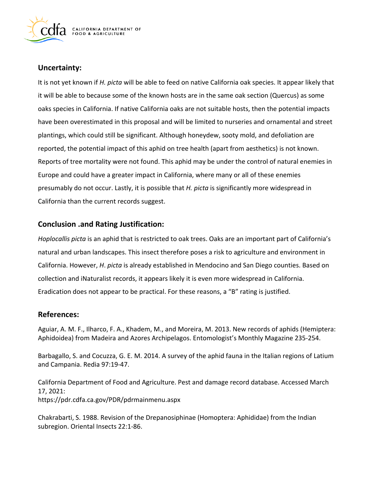

## **Uncertainty:**

It is not yet known if *H. picta* will be able to feed on native California oak species. It appear likely that it will be able to because some of the known hosts are in the same oak section (Quercus) as some oaks species in California. If native California oaks are not suitable hosts, then the potential impacts have been overestimated in this proposal and will be limited to nurseries and ornamental and street plantings, which could still be significant. Although honeydew, sooty mold, and defoliation are reported, the potential impact of this aphid on tree health (apart from aesthetics) is not known. Reports of tree mortality were not found. This aphid may be under the control of natural enemies in Europe and could have a greater impact in California, where many or all of these enemies presumably do not occur. Lastly, it is possible that *H. picta* is significantly more widespread in California than the current records suggest.

# **Conclusion .and Rating Justification:**

*Hoplocallis picta* is an aphid that is restricted to oak trees. Oaks are an important part of California's natural and urban landscapes. This insect therefore poses a risk to agriculture and environment in California. However, *H*. *picta* is already established in Mendocino and San Diego counties. Based on collection and iNaturalist records, it appears likely it is even more widespread in California. Eradication does not appear to be practical. For these reasons, a "B" rating is justified.

## **References:**

Aguiar, A. M. F., Ilharco, F. A., Khadem, M., and Moreira, M. 2013. New records of aphids (Hemiptera: Aphidoidea) from Madeira and Azores Archipelagos. Entomologist's Monthly Magazine 235-254.

Barbagallo, S. and Cocuzza, G. E. M. 2014. A survey of the aphid fauna in the Italian regions of Latium and Campania. Redia 97:19-47.

California Department of Food and Agriculture. Pest and damage record database. Accessed March 17, 2021: <https://pdr.cdfa.ca.gov/PDR/pdrmainmenu.aspx>

Chakrabarti, S. 1988. Revision of the Drepanosiphinae (Homoptera: Aphididae) from the Indian subregion. Oriental Insects 22:1-86.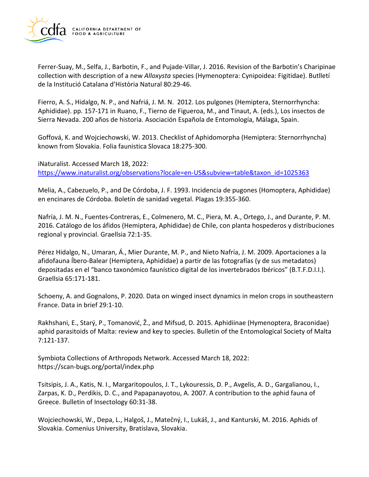

Ferrer-Suay, M., Selfa, J., Barbotin, F., and Pujade-Villar, J. 2016. Revision of the Barbotin's Charipinae collection with description of a new *Alloxysta* species (Hymenoptera: Cynipoidea: Figitidae). Butlletí de la Institució Catalana d'Història Natural 80:29-46.

Fierro, A. S., Hidalgo, N. P., and Nafriá, J. M. N. 2012. Los pulgones (Hemiptera, Sternorrhyncha: Aphididae). pp. 157-171 in Ruano, F., Tierno de Figueroa, M., and Tinaut, A. (eds.), Los insectos de Sierra Nevada. 200 años de historia. Asociación Española de Entomología, Málaga, Spain.

Goffová, K. and Wojciechowski, W. 2013. Checklist of Aphidomorpha (Hemiptera: Sternorrhyncha) known from Slovakia. Folia faunistica Slovaca 18:275-300.

iNaturalist. Accessed March 18, 2022: [https://www.inaturalist.org/observations?locale=en-US&subview=table&taxon\\_id=1025363](https://www.inaturalist.org/observations?locale=en-US&subview=table&taxon_id=1025363) 

Melia, A., Cabezuelo, P., and De Córdoba, J. F. 1993. Incidencia de pugones (Homoptera, Aphididae) en encinares de Córdoba. Boletín de sanidad vegetal. Plagas 19:355-360.

Nafría, J. M. N., Fuentes-Contreras, E., Colmenero, M. C., Piera, M. A., Ortego, J., and Durante, P. M. 2016. Catálogo de los áfidos (Hemiptera, Aphididae) de Chile, con planta hospederos y distribuciones regional y provincial. Graellsia 72:1-35.

Pérez Hidalgo, N., Umaran, Á., Mier Durante, M. P., and Nieto Nafría, J. M. 2009. Aportaciones a la afidofauna Íbero-Balear (Hemiptera, Aphididae) a partir de las fotografías (y de sus metadatos) depositadas en el "banco taxonómico faunístico digital de los invertebrados Ibéricos" (B.T.F.D.I.I.). Graellsia 65:171-181.

Schoeny, A. and Gognalons, P. 2020. Data on winged insect dynamics in melon crops in southeastern France. Data in brief 29:1-10.

 Rakhshani, E., Starý, P., Tomanović, Ž., and Mifsud, D. 2015. Aphidiinae (Hymenoptera, Braconidae) aphid parasitoids of Malta: review and key to species. Bulletin of the Entomological Society of Malta 7:121-137.

Symbiota Collections of Arthropods Network. Accessed March 18, 2022: <https://scan-bugs.org/portal/index.php>

Tsitsipis, J. A., Katis, N. I., Margaritopoulos, J. T., Lykouressis, D. P., Avgelis, A. D., Gargalianou, I., Zarpas, K. D., Perdikis, D. C., and Papapanayotou, A. 2007. A contribution to the aphid fauna of Greece. Bulletin of Insectology 60:31-38.

 Wojciechowski, W., Depa, L., Halgoš, J., Matečný, I., Lukáš, J., and Kanturski, M. 2016. Aphids of Slovakia. Comenius University, Bratislava, Slovakia.